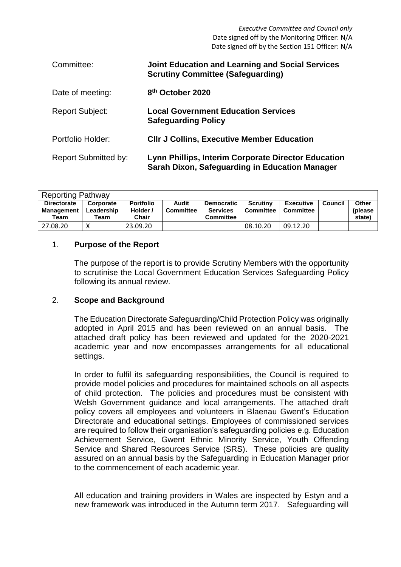*Executive Committee and Council only* Date signed off by the Monitoring Officer: N/A Date signed off by the Section 151 Officer: N/A

| Committee:                  | <b>Joint Education and Learning and Social Services</b><br><b>Scrutiny Committee (Safeguarding)</b>   |
|-----------------------------|-------------------------------------------------------------------------------------------------------|
| Date of meeting:            | 8 <sup>th</sup> October 2020                                                                          |
| <b>Report Subject:</b>      | <b>Local Government Education Services</b><br><b>Safeguarding Policy</b>                              |
| Portfolio Holder:           | <b>CIIr J Collins, Executive Member Education</b>                                                     |
| <b>Report Submitted by:</b> | Lynn Phillips, Interim Corporate Director Education<br>Sarah Dixon, Safeguarding in Education Manager |

| <b>Reporting Pathway</b>                        |                                 |                                              |                           |                                                          |                              |                               |         |                             |  |  |
|-------------------------------------------------|---------------------------------|----------------------------------------------|---------------------------|----------------------------------------------------------|------------------------------|-------------------------------|---------|-----------------------------|--|--|
| <b>Directorate</b><br><b>Management</b><br>Team | Corporate<br>Leadership<br>Team | <b>Portfolio</b><br>Holder /<br><b>Chair</b> | Audit<br><b>Committee</b> | <b>Democratic</b><br><b>Services</b><br><b>Committee</b> | <b>Scrutiny</b><br>Committee | <b>Executive</b><br>Committee | Council | Other<br>(please)<br>state) |  |  |
| 27.08.20                                        |                                 | 23.09.20                                     |                           |                                                          | 08.10.20                     | 09.12.20                      |         |                             |  |  |

#### 1. **Purpose of the Report**

The purpose of the report is to provide Scrutiny Members with the opportunity to scrutinise the Local Government Education Services Safeguarding Policy following its annual review.

#### 2. **Scope and Background**

The Education Directorate Safeguarding/Child Protection Policy was originally adopted in April 2015 and has been reviewed on an annual basis. The attached draft policy has been reviewed and updated for the 2020-2021 academic year and now encompasses arrangements for all educational settings.

In order to fulfil its safeguarding responsibilities, the Council is required to provide model policies and procedures for maintained schools on all aspects of child protection. The policies and procedures must be consistent with Welsh Government guidance and local arrangements. The attached draft policy covers all employees and volunteers in Blaenau Gwent's Education Directorate and educational settings. Employees of commissioned services are required to follow their organisation's safeguarding policies e.g. Education Achievement Service, Gwent Ethnic Minority Service, Youth Offending Service and Shared Resources Service (SRS). These policies are quality assured on an annual basis by the Safeguarding in Education Manager prior to the commencement of each academic year.

All education and training providers in Wales are inspected by Estyn and a new framework was introduced in the Autumn term 2017. Safeguarding will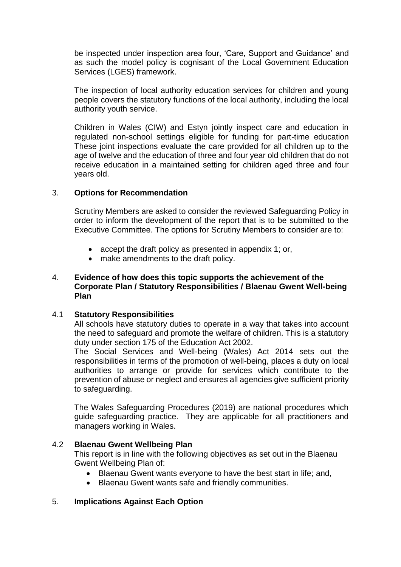be inspected under inspection area four, 'Care, Support and Guidance' and as such the model policy is cognisant of the Local Government Education Services (LGES) framework.

The inspection of local authority education services for children and young people covers the statutory functions of the local authority, including the local authority youth service.

Children in Wales (CIW) and Estyn jointly inspect care and education in regulated non-school settings eligible for funding for part-time education These joint inspections evaluate the care provided for all children up to the age of twelve and the education of three and four year old children that do not receive education in a maintained setting for children aged three and four years old.

#### 3. **Options for Recommendation**

Scrutiny Members are asked to consider the reviewed Safeguarding Policy in order to inform the development of the report that is to be submitted to the Executive Committee. The options for Scrutiny Members to consider are to:

- accept the draft policy as presented in appendix 1; or,
- make amendments to the draft policy.

#### 4. **Evidence of how does this topic supports the achievement of the Corporate Plan / Statutory Responsibilities / Blaenau Gwent Well-being Plan**

#### 4.1 **Statutory Responsibilities**

All schools have statutory duties to operate in a way that takes into account the need to safeguard and promote the welfare of children. This is a statutory duty under section 175 of the Education Act 2002.

The Social Services and Well-being (Wales) Act 2014 sets out the responsibilities in terms of the promotion of well-being, places a duty on local authorities to arrange or provide for services which contribute to the prevention of abuse or neglect and ensures all agencies give sufficient priority to safeguarding.

The Wales Safeguarding Procedures (2019) are national procedures which guide safeguarding practice. They are applicable for all practitioners and managers working in Wales.

#### 4.2 **Blaenau Gwent Wellbeing Plan**

This report is in line with the following objectives as set out in the Blaenau Gwent Wellbeing Plan of:

- Blaenau Gwent wants everyone to have the best start in life; and,
- Blaenau Gwent wants safe and friendly communities.

#### 5. **Implications Against Each Option**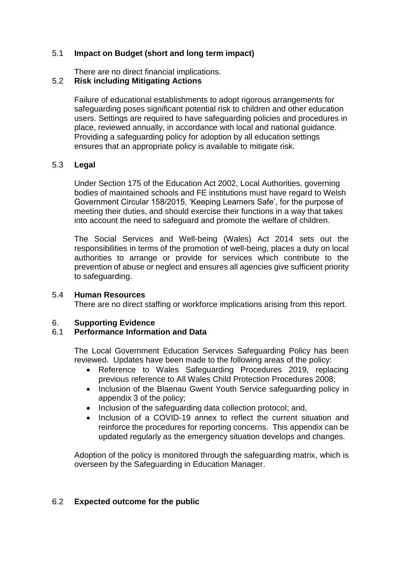## 5.1 **Impact on Budget (short and long term impact)**

There are no direct financial implications.

# 5.2 **Risk including Mitigating Actions**

Failure of educational establishments to adopt rigorous arrangements for safeguarding poses significant potential risk to children and other education users. Settings are required to have safeguarding policies and procedures in place, reviewed annually, in accordance with local and national guidance. Providing a safeguarding policy for adoption by all education settings ensures that an appropriate policy is available to mitigate risk.

## 5.3 **Legal**

Under Section 175 of the Education Act 2002, Local Authorities, governing bodies of maintained schools and FE institutions must have regard to Welsh Government Circular 158/2015, 'Keeping Learners Safe', for the purpose of meeting their duties, and should exercise their functions in a way that takes into account the need to safeguard and promote the welfare of children.

The Social Services and Well-being (Wales) Act 2014 sets out the responsibilities in terms of the promotion of well-being, places a duty on local authorities to arrange or provide for services which contribute to the prevention of abuse or neglect and ensures all agencies give sufficient priority to safeguarding.

#### 5.4 **Human Resources**

There are no direct staffing or workforce implications arising from this report.

#### 6. **Supporting Evidence**

# 6.1 **Performance Information and Data**

The Local Government Education Services Safeguarding Policy has been reviewed. Updates have been made to the following areas of the policy:

- Reference to Wales Safeguarding Procedures 2019, replacing previous reference to All Wales Child Protection Procedures 2008;
- Inclusion of the Blaenau Gwent Youth Service safeguarding policy in appendix 3 of the policy;
- Inclusion of the safeguarding data collection protocol; and,
- Inclusion of a COVID-19 annex to reflect the current situation and reinforce the procedures for reporting concerns. This appendix can be updated regularly as the emergency situation develops and changes.

Adoption of the policy is monitored through the safeguarding matrix, which is overseen by the Safeguarding in Education Manager.

# 6.2 **Expected outcome for the public**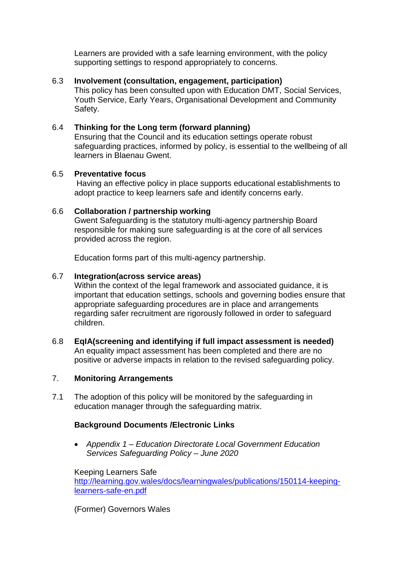Learners are provided with a safe learning environment, with the policy supporting settings to respond appropriately to concerns.

# 6.3 **Involvement (consultation, engagement, participation)**

This policy has been consulted upon with Education DMT, Social Services, Youth Service, Early Years, Organisational Development and Community Safety.

## 6.4 **Thinking for the Long term (forward planning)**

Ensuring that the Council and its education settings operate robust safeguarding practices, informed by policy, is essential to the wellbeing of all learners in Blaenau Gwent.

## 6.5 **Preventative focus**

Having an effective policy in place supports educational establishments to adopt practice to keep learners safe and identify concerns early.

## 6.6 **Collaboration / partnership working**

Gwent Safeguarding is the statutory multi-agency partnership Board responsible for making sure safeguarding is at the core of all services provided across the region.

Education forms part of this multi-agency partnership.

## 6.7 **Integration(across service areas)**

Within the context of the legal framework and associated guidance, it is important that education settings, schools and governing bodies ensure that appropriate safeguarding procedures are in place and arrangements regarding safer recruitment are rigorously followed in order to safeguard children.

6.8 **EqIA(screening and identifying if full impact assessment is needed)** An equality impact assessment has been completed and there are no positive or adverse impacts in relation to the revised safeguarding policy.

# 7. **Monitoring Arrangements**

7.1 The adoption of this policy will be monitored by the safeguarding in education manager through the safeguarding matrix.

# **Background Documents /Electronic Links**

 *Appendix 1 – Education Directorate Local Government Education Services Safeguarding Policy – June 2020*

Keeping Learners Safe [http://learning.gov.wales/docs/learningwales/publications/150114-keeping](http://learning.gov.wales/docs/learningwales/publications/150114-keeping-learners-safe-en.pdf)[learners-safe-en.pdf](http://learning.gov.wales/docs/learningwales/publications/150114-keeping-learners-safe-en.pdf)

(Former) Governors Wales